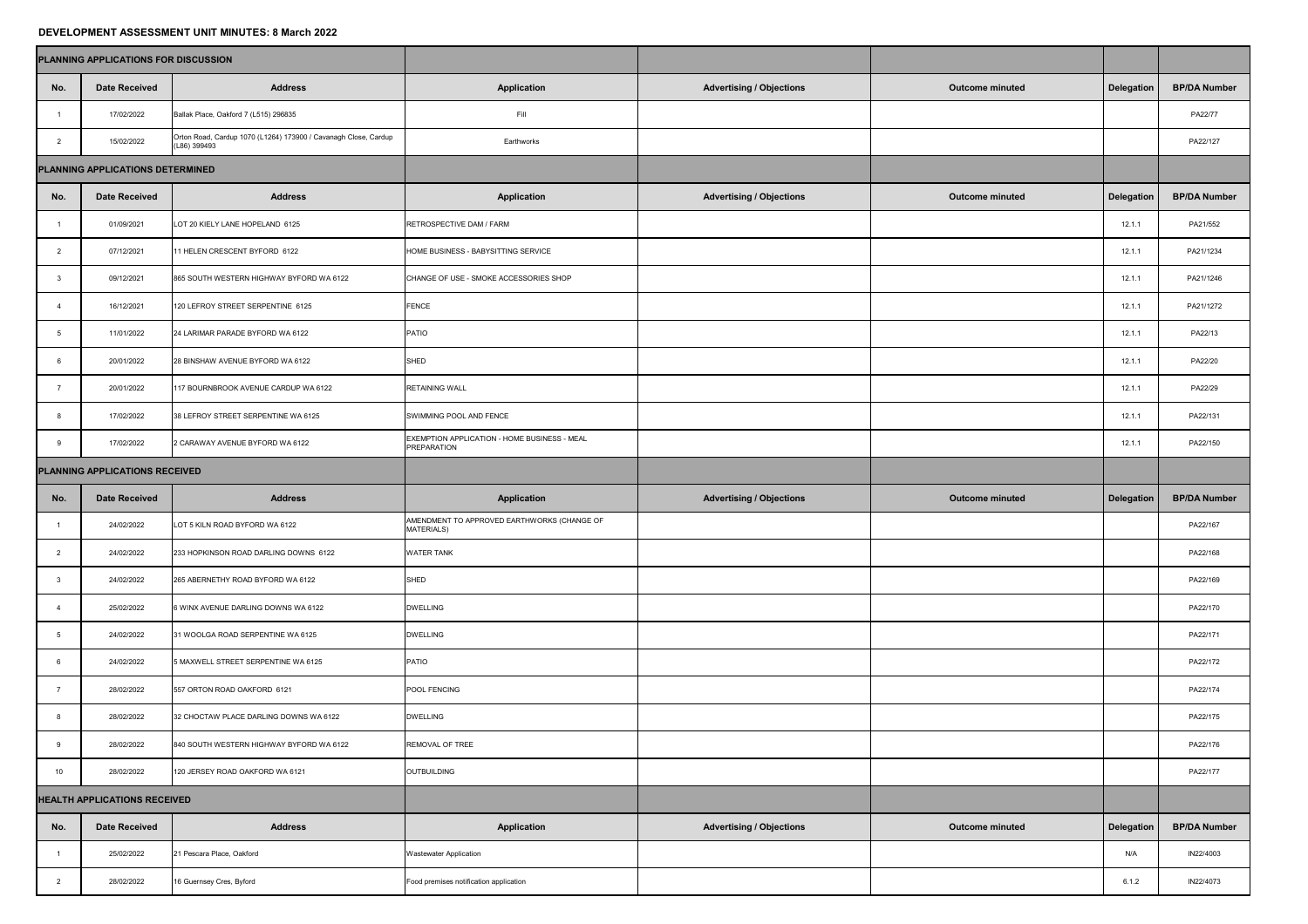## **DEVELOPMENT ASSESSMENT UNIT MINUTES: 8 March 2022**

| <b>PLANNING APPLICATIONS FOR DISCUSSION</b> |                              |                                                                                 |                                                                    |                                 |                        |                   |                     |
|---------------------------------------------|------------------------------|---------------------------------------------------------------------------------|--------------------------------------------------------------------|---------------------------------|------------------------|-------------------|---------------------|
| No.                                         | <b>Date Received</b>         | <b>Address</b>                                                                  | <b>Application</b>                                                 | <b>Advertising / Objections</b> | <b>Outcome minuted</b> | <b>Delegation</b> | <b>BP/DA Number</b> |
|                                             | 17/02/2022                   | Ballak Place, Oakford 7 (L515) 296835                                           | Fill                                                               |                                 |                        |                   | PA22/77             |
|                                             | 15/02/2022                   | Orton Road, Cardup 1070 (L1264) 173900 / Cavanagh Close, Cardup<br>(L86) 399493 | Earthworks                                                         |                                 |                        |                   | PA22/127            |
| PLANNING APPLICATIONS DETERMINED            |                              |                                                                                 |                                                                    |                                 |                        |                   |                     |
| No.                                         | <b>Date Received</b>         | <b>Address</b>                                                                  | <b>Application</b>                                                 | <b>Advertising / Objections</b> | <b>Outcome minuted</b> | <b>Delegation</b> | <b>BP/DA Number</b> |
|                                             | 01/09/2021                   | LOT 20 KIELY LANE HOPELAND 6125                                                 | RETROSPECTIVE DAM / FARM                                           |                                 |                        | 12.1.1            | PA21/552            |
|                                             | 07/12/2021                   | 11 HELEN CRESCENT BYFORD 6122                                                   | HOME BUSINESS - BABYSITTING SERVICE                                |                                 |                        | 12.1.1            | PA21/1234           |
|                                             | 09/12/2021                   | 865 SOUTH WESTERN HIGHWAY BYFORD WA 6122                                        | CHANGE OF USE - SMOKE ACCESSORIES SHOP                             |                                 |                        | 12.1.1            | PA21/1246           |
|                                             | 16/12/2021                   | 120 LEFROY STREET SERPENTINE 6125                                               | <b>FENCE</b>                                                       |                                 |                        | 12.1.1            | PA21/1272           |
|                                             | 11/01/2022                   | 24 LARIMAR PARADE BYFORD WA 6122                                                | <b>PATIO</b>                                                       |                                 |                        | 12.1.1            | PA22/13             |
|                                             | 20/01/2022                   | 28 BINSHAW AVENUE BYFORD WA 6122                                                | <b>SHED</b>                                                        |                                 |                        | 12.1.1            | PA22/20             |
|                                             | 20/01/2022                   | 117 BOURNBROOK AVENUE CARDUP WA 6122                                            | <b>RETAINING WALL</b>                                              |                                 |                        | 12.1.1            | PA22/29             |
|                                             | 17/02/2022                   | 38 LEFROY STREET SERPENTINE WA 6125                                             | SWIMMING POOL AND FENCE                                            |                                 |                        | 12.1.1            | PA22/131            |
|                                             | 17/02/2022                   | 2 CARAWAY AVENUE BYFORD WA 6122                                                 | EXEMPTION APPLICATION - HOME BUSINESS - MEAL<br><b>PREPARATION</b> |                                 |                        | 12.1.1            | PA22/150            |
| <b>PLANNING APPLICATIONS RECEIVED</b>       |                              |                                                                                 |                                                                    |                                 |                        |                   |                     |
| No.                                         | <b>Date Received</b>         | <b>Address</b>                                                                  | <b>Application</b>                                                 | <b>Advertising / Objections</b> | <b>Outcome minuted</b> | Delegation        | <b>BP/DA Number</b> |
|                                             |                              |                                                                                 |                                                                    |                                 |                        |                   |                     |
|                                             | 24/02/2022                   | LOT 5 KILN ROAD BYFORD WA 6122                                                  | AMENDMENT TO APPROVED EARTHWORKS (CHANGE OF<br><b>MATERIALS)</b>   |                                 |                        |                   | PA22/167            |
|                                             | 24/02/2022                   | 233 HOPKINSON ROAD DARLING DOWNS 6122                                           | <b>WATER TANK</b>                                                  |                                 |                        |                   | PA22/168            |
|                                             | 24/02/2022                   | 265 ABERNETHY ROAD BYFORD WA 6122                                               | SHED                                                               |                                 |                        |                   | PA22/169            |
|                                             | 25/02/2022                   | 6 WINX AVENUE DARLING DOWNS WA 6122                                             | <b>DWELLING</b>                                                    |                                 |                        |                   | PA22/170            |
|                                             | 24/02/2022                   | 31 WOOLGA ROAD SERPENTINE WA 6125                                               | <b>DWELLING</b>                                                    |                                 |                        |                   | PA22/171            |
|                                             | 24/02/2022                   | 5 MAXWELL STREET SERPENTINE WA 6125                                             | PATIO                                                              |                                 |                        |                   | PA22/172            |
|                                             | 28/02/2022                   | 557 ORTON ROAD OAKFORD 6121                                                     | POOL FENCING                                                       |                                 |                        |                   | PA22/174            |
|                                             | 28/02/2022                   | 32 CHOCTAW PLACE DARLING DOWNS WA 6122                                          | <b>DWELLING</b>                                                    |                                 |                        |                   | PA22/175            |
|                                             | 28/02/2022                   | 840 SOUTH WESTERN HIGHWAY BYFORD WA 6122                                        | REMOVAL OF TREE                                                    |                                 |                        |                   | PA22/176            |
| 10                                          | 28/02/2022                   | 120 JERSEY ROAD OAKFORD WA 6121                                                 | OUTBUILDING                                                        |                                 |                        |                   | PA22/177            |
|                                             | HEALTH APPLICATIONS RECEIVED |                                                                                 |                                                                    |                                 |                        |                   |                     |
| No.                                         | <b>Date Received</b>         | <b>Address</b>                                                                  | <b>Application</b>                                                 | <b>Advertising / Objections</b> | <b>Outcome minuted</b> | <b>Delegation</b> | <b>BP/DA Number</b> |
|                                             | 25/02/2022                   | 21 Pescara Place, Oakford                                                       | <b>Wastewater Application</b>                                      |                                 |                        | N/A               | IN22/4003           |